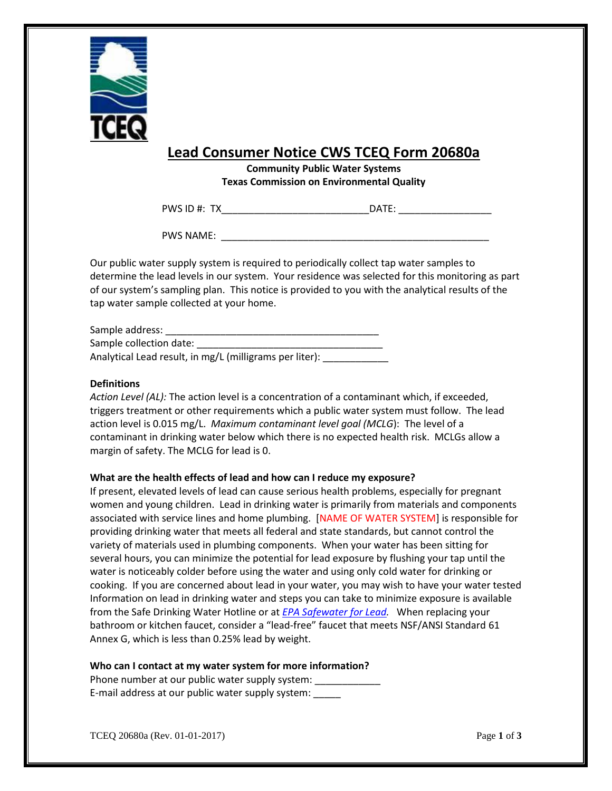

## **Lead Consumer Notice CWS TCEQ Form 20680a**

**Community Public Water Systems Texas Commission on Environmental Quality** 

PWS ID #: TX\_\_\_\_\_\_\_\_\_\_\_\_\_\_\_\_\_\_\_\_\_\_\_\_\_\_\_\_\_\_\_\_\_\_DATE: \_\_\_\_\_\_\_\_\_\_\_\_\_\_\_\_\_\_\_\_\_\_\_\_\_\_\_

PWS NAME: \_\_\_\_\_\_\_\_\_\_\_\_\_\_\_\_\_\_\_\_\_\_\_\_\_\_\_\_\_\_\_\_\_\_\_\_\_\_\_\_\_\_\_\_\_\_\_\_\_

 of our system's sampling plan. This notice is provided to you with the analytical results of the Our public water supply system is required to periodically collect tap water samples to determine the lead levels in our system. Your residence was selected for this monitoring as part tap water sample collected at your home.

| Sample address:                                         |
|---------------------------------------------------------|
| Sample collection date:                                 |
| Analytical Lead result, in mg/L (milligrams per liter): |

#### **Definitions**

 action level is 0.015 mg/L. *Maximum contaminant level goal (MCLG*): The level of a *Action Level (AL):* The action level is a concentration of a contaminant which, if exceeded, triggers treatment or other requirements which a public water system must follow. The lead contaminant in drinking water below which there is no expected health risk. MCLGs allow a margin of safety. The MCLG for lead is 0.

### **What are the health effects of lead and how can I reduce my exposure?**

 women and young children. Lead in drinking water is primarily from materials and components cooking. If you are concerned about lead in your water, you may wish to have your water tested bathroom or kitchen faucet, consider a "lead-free" faucet that meets NSF/ANSI Standard 61 If present, elevated levels of lead can cause serious health problems, especially for pregnant associated with service lines and home plumbing. [NAME OF WATER SYSTEM] is responsible for providing drinking water that meets all federal and state standards, but cannot control the variety of materials used in plumbing components. When your water has been sitting for several hours, you can minimize the potential for lead exposure by flushing your tap until the water is noticeably colder before using the water and using only cold water for drinking or Information on lead in drinking water and steps you can take to minimize exposure is available from the Safe Drinking Water Hotline or at *[EPA Safewater for Lead.](http://www.epa.gov/safewater/lead)* When replacing your Annex G, which is less than 0.25% lead by weight.

#### **Who can I contact at my water system for more information?**

E-mail address at our public water supply system: \_\_\_\_\_ Phone number at our public water supply system: \_\_\_\_\_\_\_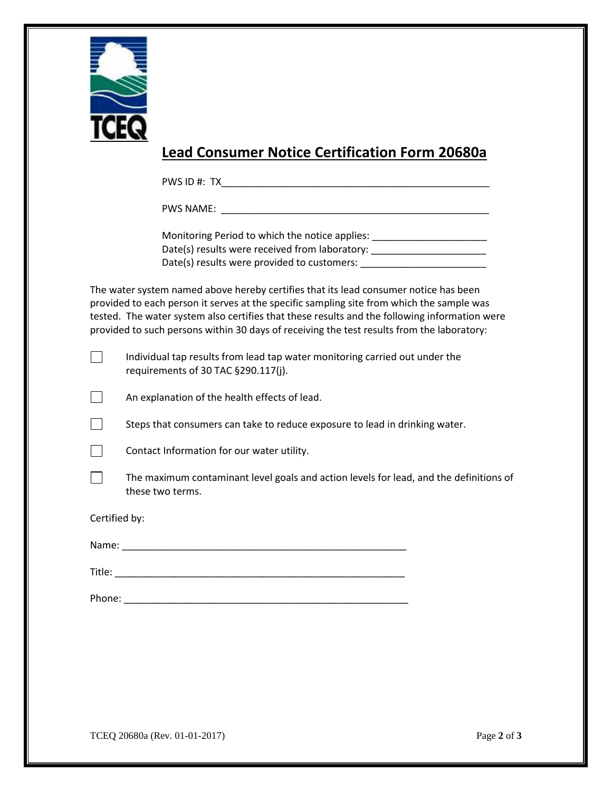

# **Lead Consumer Notice Certification Form 20680a**

PWS ID #: TX\_\_\_\_\_\_\_\_\_\_\_\_\_\_\_\_\_\_\_\_\_\_\_\_\_\_\_\_\_\_\_\_\_\_\_\_\_\_\_\_\_\_\_\_\_\_\_\_\_

PWS NAME: \_\_\_\_\_\_\_\_\_\_\_\_\_\_\_\_\_\_\_\_\_\_\_\_\_\_\_\_\_\_\_\_\_\_\_\_\_\_\_\_\_\_\_\_\_\_\_\_\_

Date(s) results were received from laboratory: \_\_\_\_\_\_\_\_\_\_\_\_\_\_\_\_\_\_\_\_\_\_\_\_\_\_\_\_\_\_\_\_\_ Monitoring Period to which the notice applies: \_\_\_\_\_\_\_\_\_\_\_\_\_\_\_\_\_\_\_\_\_\_\_\_\_\_\_\_\_\_\_\_\_ Date(s) results were provided to customers:

 tested. The water system also certifies that these results and the following information were The water system named above hereby certifies that its lead consumer notice has been provided to each person it serves at the specific sampling site from which the sample was provided to such persons within 30 days of receiving the test results from the laboratory:

Individual tap results from lead tap water monitoring carried out under the requirements of 30 TAC §290.117(j).

An explanation of the health effects of lead.

□ Steps that consumers can take to reduce exposure to lead in drinking water.

□

□

Contact Information for our water utility.

 these two terms. The maximum contaminant level goals and action levels for lead, and the definitions of

Certified by:

Name:

Title: \_\_\_\_\_\_\_\_\_\_\_\_\_\_\_\_\_\_\_\_\_\_\_\_\_\_\_\_\_\_\_\_\_\_\_\_\_\_\_\_\_\_\_\_\_\_\_\_\_\_\_\_\_

Phone: \_\_\_\_\_\_\_\_\_\_\_\_\_\_\_\_\_\_\_\_\_\_\_\_\_\_\_\_\_\_\_\_\_\_\_\_\_\_\_\_\_\_\_\_\_\_\_\_\_\_\_\_

TCEQ 20680a (Rev. 01-01-2017) Page **2** of **3**